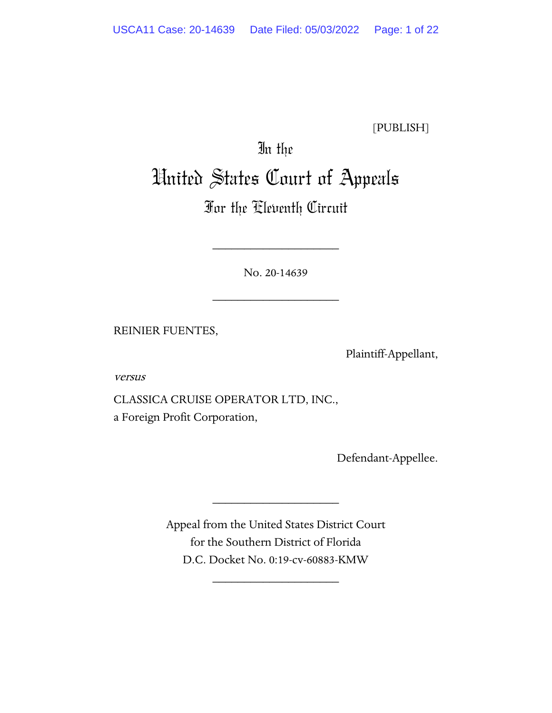[PUBLISH]

# In the United States Court of Appeals

# For the Eleventh Circuit

No. 20-14639

\_\_\_\_\_\_\_\_\_\_\_\_\_\_\_\_\_\_\_\_

\_\_\_\_\_\_\_\_\_\_\_\_\_\_\_\_\_\_\_\_

REINIER FUENTES,

Plaintiff-Appellant,

versus

CLASSICA CRUISE OPERATOR LTD, INC., a Foreign Profit Corporation,

Defendant-Appellee.

Appeal from the United States District Court for the Southern District of Florida D.C. Docket No. 0:19-cv-60883-KMW

\_\_\_\_\_\_\_\_\_\_\_\_\_\_\_\_\_\_\_\_

\_\_\_\_\_\_\_\_\_\_\_\_\_\_\_\_\_\_\_\_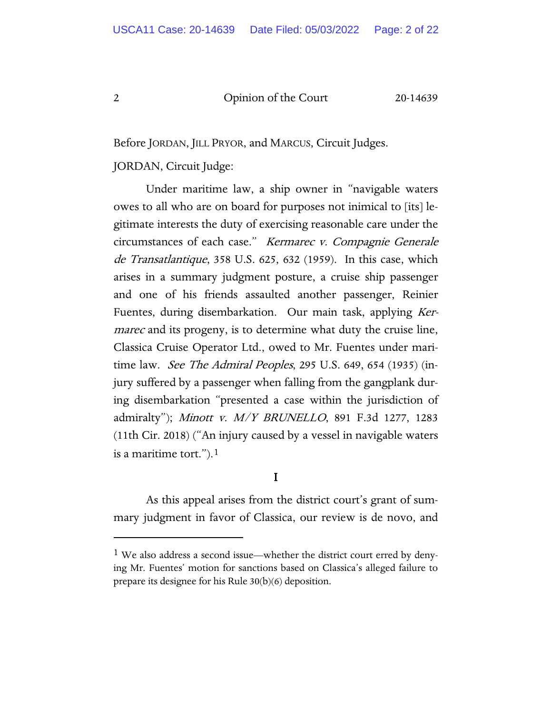Before JORDAN, JILL PRYOR, and MARCUS, Circuit Judges.

# JORDAN, Circuit Judge:

Under maritime law, a ship owner in "navigable waters owes to all who are on board for purposes not inimical to [its] legitimate interests the duty of exercising reasonable care under the circumstances of each case." Kermarec v. Compagnie Generale de Transatlantique, 358 U.S. 625, 632 (1959). In this case, which arises in a summary judgment posture, a cruise ship passenger and one of his friends assaulted another passenger, Reinier Fuentes, during disembarkation. Our main task, applying Ker*marec* and its progeny, is to determine what duty the cruise line, Classica Cruise Operator Ltd., owed to Mr. Fuentes under maritime law. *See The Admiral Peoples*, 295 U.S. 649, 654 (1935) (injury suffered by a passenger when falling from the gangplank during disembarkation "presented a case within the jurisdiction of admiralty"); Minott v. M/Y BRUNELLO, 891 F.3d 1277, 1283 (11th Cir. 2018) ("An injury caused by a vessel in navigable waters is a maritime tort.").<sup>[1](#page-1-0)</sup>

# I

As this appeal arises from the district court's grant of summary judgment in favor of Classica, our review is de novo, and

<span id="page-1-0"></span><sup>1</sup> We also address a second issue—whether the district court erred by denying Mr. Fuentes' motion for sanctions based on Classica's alleged failure to prepare its designee for his Rule 30(b)(6) deposition.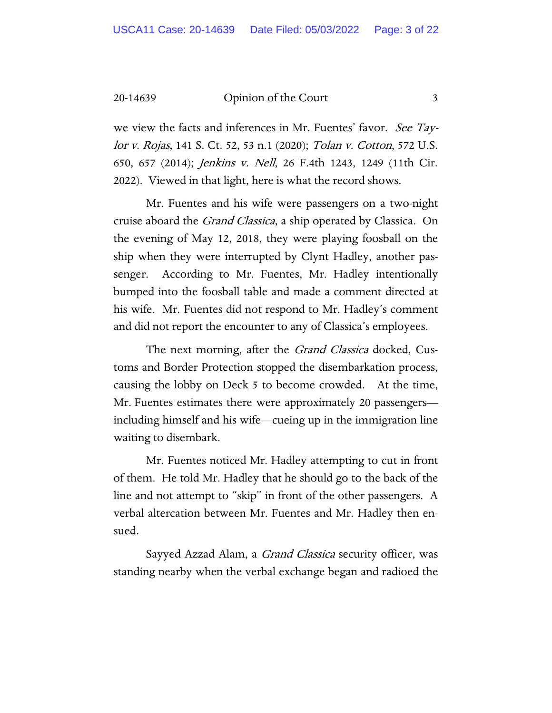we view the facts and inferences in Mr. Fuentes' favor. See Taylor v. Rojas, 141 S. Ct. 52, 53 n.1 (2020); Tolan v. Cotton, 572 U.S. 650, 657 (2014); Jenkins v. Nell, 26 F.4th 1243, 1249 (11th Cir. 2022). Viewed in that light, here is what the record shows.

Mr. Fuentes and his wife were passengers on a two-night cruise aboard the *Grand Classica*, a ship operated by Classica. On the evening of May 12, 2018, they were playing foosball on the ship when they were interrupted by Clynt Hadley, another passenger. According to Mr. Fuentes, Mr. Hadley intentionally bumped into the foosball table and made a comment directed at his wife. Mr. Fuentes did not respond to Mr. Hadley's comment and did not report the encounter to any of Classica's employees.

The next morning, after the *Grand Classica* docked, Customs and Border Protection stopped the disembarkation process, causing the lobby on Deck 5 to become crowded. At the time, Mr. Fuentes estimates there were approximately 20 passengers including himself and his wife—cueing up in the immigration line waiting to disembark.

Mr. Fuentes noticed Mr. Hadley attempting to cut in front of them. He told Mr. Hadley that he should go to the back of the line and not attempt to "skip" in front of the other passengers. A verbal altercation between Mr. Fuentes and Mr. Hadley then ensued.

Sayyed Azzad Alam, a *Grand Classica* security officer, was standing nearby when the verbal exchange began and radioed the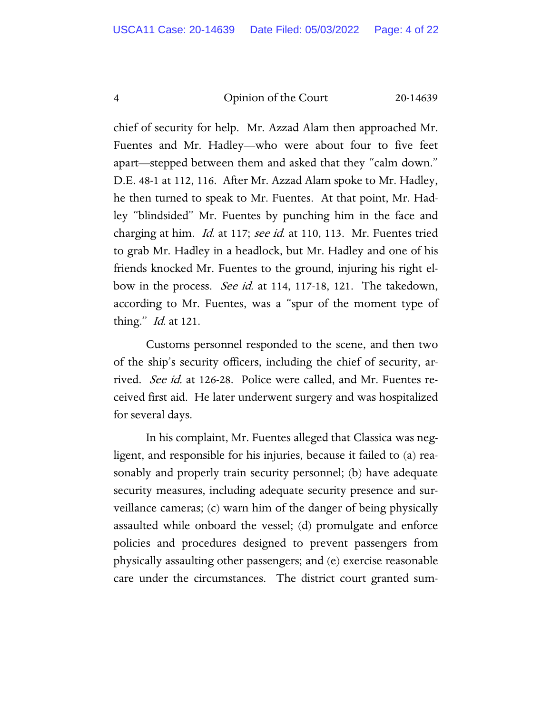chief of security for help. Mr. Azzad Alam then approached Mr. Fuentes and Mr. Hadley—who were about four to five feet apart—stepped between them and asked that they "calm down." D.E. 48-1 at 112, 116. After Mr. Azzad Alam spoke to Mr. Hadley, he then turned to speak to Mr. Fuentes. At that point, Mr. Hadley "blindsided" Mr. Fuentes by punching him in the face and charging at him. *Id.* at 117; see id. at 110, 113. Mr. Fuentes tried to grab Mr. Hadley in a headlock, but Mr. Hadley and one of his friends knocked Mr. Fuentes to the ground, injuring his right elbow in the process. *See id.* at 114, 117-18, 121. The takedown, according to Mr. Fuentes, was a "spur of the moment type of thing." *Id.* at 121.

Customs personnel responded to the scene, and then two of the ship's security officers, including the chief of security, arrived. See id. at 126-28. Police were called, and Mr. Fuentes received first aid. He later underwent surgery and was hospitalized for several days.

In his complaint, Mr. Fuentes alleged that Classica was negligent, and responsible for his injuries, because it failed to (a) reasonably and properly train security personnel; (b) have adequate security measures, including adequate security presence and surveillance cameras; (c) warn him of the danger of being physically assaulted while onboard the vessel; (d) promulgate and enforce policies and procedures designed to prevent passengers from physically assaulting other passengers; and (e) exercise reasonable care under the circumstances. The district court granted sum-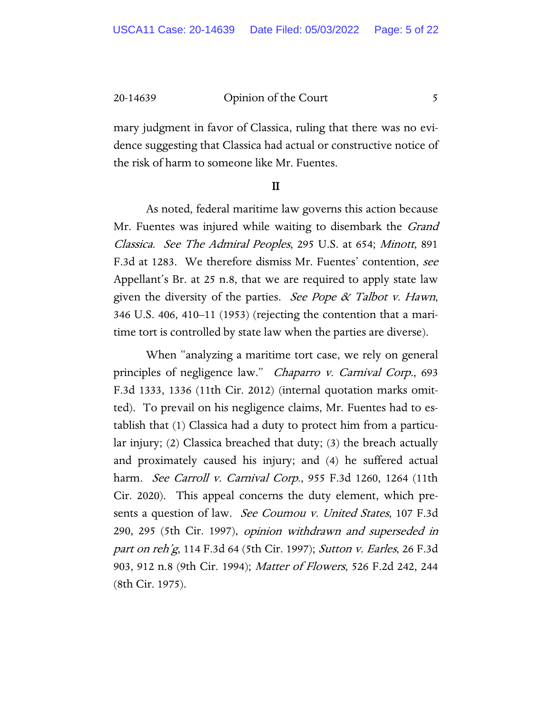mary judgment in favor of Classica, ruling that there was no evidence suggesting that Classica had actual or constructive notice of the risk of harm to someone like Mr. Fuentes.

#### II

As noted, federal maritime law governs this action because Mr. Fuentes was injured while waiting to disembark the *Grand* Classica. See The Admiral Peoples, 295 U.S. at 654; Minott, 891 F.3d at 1283. We therefore dismiss Mr. Fuentes' contention, see Appellant's Br. at 25 n.8, that we are required to apply state law given the diversity of the parties. See Pope  $\alpha$  Talbot v. Hawn, 346 U.S. 406, 410–11 (1953) (rejecting the contention that a maritime tort is controlled by state law when the parties are diverse).

When "analyzing a maritime tort case, we rely on general principles of negligence law." Chaparro v. Carnival Corp., 693 F.3d 1333, 1336 (11th Cir. 2012) (internal quotation marks omitted). To prevail on his negligence claims, Mr. Fuentes had to establish that (1) Classica had a duty to protect him from a particular injury; (2) Classica breached that duty; (3) the breach actually and proximately caused his injury; and (4) he suffered actual harm. See Carroll v. Carnival Corp., 955 F.3d 1260, 1264 (11th Cir. 2020). This appeal concerns the duty element, which presents a question of law. *See Coumou v. United States*, 107 F.3d 290, 295 (5th Cir. 1997), opinion withdrawn and superseded in part on reh'g, 114 F.3d 64 (5th Cir. 1997); Sutton v. Earles, 26 F.3d 903, 912 n.8 (9th Cir. 1994); Matter of Flowers, 526 F.2d 242, 244 (8th Cir. 1975).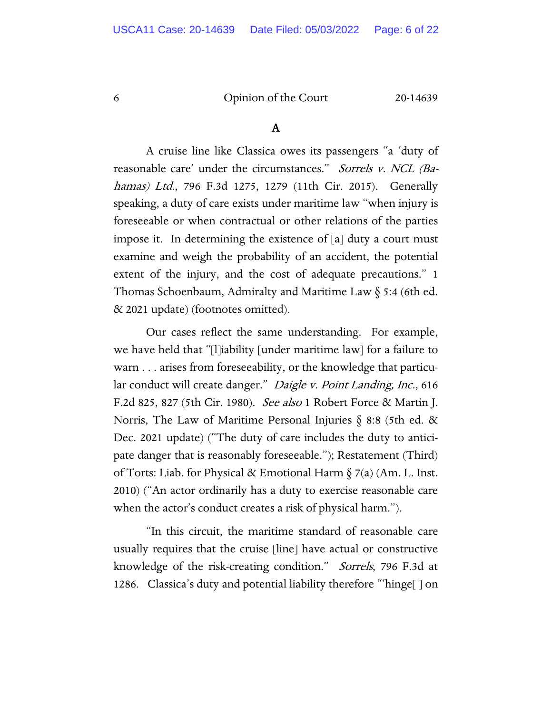#### A

A cruise line like Classica owes its passengers "a 'duty of reasonable care' under the circumstances." Sorrels v. NCL (Bahamas) Ltd., 796 F.3d 1275, 1279 (11th Cir. 2015). Generally speaking, a duty of care exists under maritime law "when injury is foreseeable or when contractual or other relations of the parties impose it. In determining the existence of [a] duty a court must examine and weigh the probability of an accident, the potential extent of the injury, and the cost of adequate precautions." 1 Thomas Schoenbaum, Admiralty and Maritime Law § 5:4 (6th ed. & 2021 update) (footnotes omitted).

Our cases reflect the same understanding. For example, we have held that "[l]iability [under maritime law] for a failure to warn . . . arises from foreseeability, or the knowledge that particular conduct will create danger." Daigle v. Point Landing, Inc., 616 F.2d 825, 827 (5th Cir. 1980). See also 1 Robert Force & Martin J. Norris, The Law of Maritime Personal Injuries § 8:8 (5th ed. & Dec. 2021 update) ("The duty of care includes the duty to anticipate danger that is reasonably foreseeable."); Restatement (Third) of Torts: Liab. for Physical & Emotional Harm  $\S$  7(a) (Am. L. Inst. 2010) ("An actor ordinarily has a duty to exercise reasonable care when the actor's conduct creates a risk of physical harm.").

"In this circuit, the maritime standard of reasonable care usually requires that the cruise [line] have actual or constructive knowledge of the risk-creating condition." Sorrels, 796 F.3d at 1286. Classica's duty and potential liability therefore "'hinge[ ] on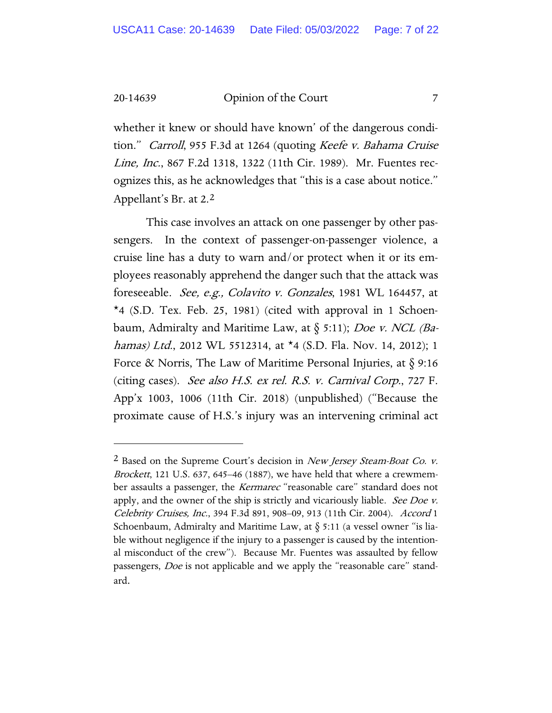whether it knew or should have known' of the dangerous condition." Carroll, 955 F.3d at 1264 (quoting Keefe v. Bahama Cruise Line, Inc., 867 F.2d 1318, 1322 (11th Cir. 1989). Mr. Fuentes recognizes this, as he acknowledges that "this is a case about notice." Appellant's Br. at 2.[2](#page-6-0)

This case involves an attack on one passenger by other passengers. In the context of passenger-on-passenger violence, a cruise line has a duty to warn and/or protect when it or its employees reasonably apprehend the danger such that the attack was foreseeable. See, e.g., Colavito v. Gonzales, 1981 WL 164457, at \*4 (S.D. Tex. Feb. 25, 1981) (cited with approval in 1 Schoenbaum, Admiralty and Maritime Law, at  $\S$  5:11); *Doe v. NCL (Ba*hamas) Ltd., 2012 WL 5512314, at \*4 (S.D. Fla. Nov. 14, 2012); 1 Force & Norris, The Law of Maritime Personal Injuries, at  $\S$  9:16 (citing cases). See also H.S. ex rel. R.S. v. Carnival Corp., 727 F. App'x 1003, 1006 (11th Cir. 2018) (unpublished) ("Because the proximate cause of H.S.'s injury was an intervening criminal act

<span id="page-6-0"></span><sup>&</sup>lt;sup>2</sup> Based on the Supreme Court's decision in *New Jersey Steam-Boat Co. v.* Brockett, 121 U.S. 637, 645–46 (1887), we have held that where a crewmember assaults a passenger, the *Kermarec* "reasonable care" standard does not apply, and the owner of the ship is strictly and vicariously liable. See Doe v. Celebrity Cruises, Inc., 394 F.3d 891, 908–09, 913 (11th Cir. 2004). Accord 1 Schoenbaum, Admiralty and Maritime Law, at  $\S$  5:11 (a vessel owner "is liable without negligence if the injury to a passenger is caused by the intentional misconduct of the crew"). Because Mr. Fuentes was assaulted by fellow passengers, *Doe* is not applicable and we apply the "reasonable care" standard.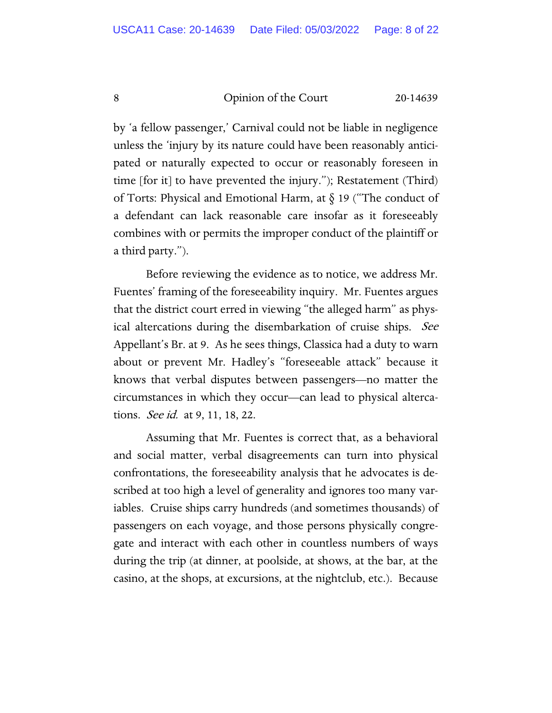by 'a fellow passenger,' Carnival could not be liable in negligence unless the 'injury by its nature could have been reasonably anticipated or naturally expected to occur or reasonably foreseen in time [for it] to have prevented the injury."); Restatement (Third) of Torts: Physical and Emotional Harm, at § 19 ("The conduct of a defendant can lack reasonable care insofar as it foreseeably combines with or permits the improper conduct of the plaintiff or a third party.").

Before reviewing the evidence as to notice, we address Mr. Fuentes' framing of the foreseeability inquiry. Mr. Fuentes argues that the district court erred in viewing "the alleged harm" as physical altercations during the disembarkation of cruise ships. See Appellant's Br. at 9. As he sees things, Classica had a duty to warn about or prevent Mr. Hadley's "foreseeable attack" because it knows that verbal disputes between passengers—no matter the circumstances in which they occur—can lead to physical altercations. *See id.* at 9, 11, 18, 22.

Assuming that Mr. Fuentes is correct that, as a behavioral and social matter, verbal disagreements can turn into physical confrontations, the foreseeability analysis that he advocates is described at too high a level of generality and ignores too many variables. Cruise ships carry hundreds (and sometimes thousands) of passengers on each voyage, and those persons physically congregate and interact with each other in countless numbers of ways during the trip (at dinner, at poolside, at shows, at the bar, at the casino, at the shops, at excursions, at the nightclub, etc.). Because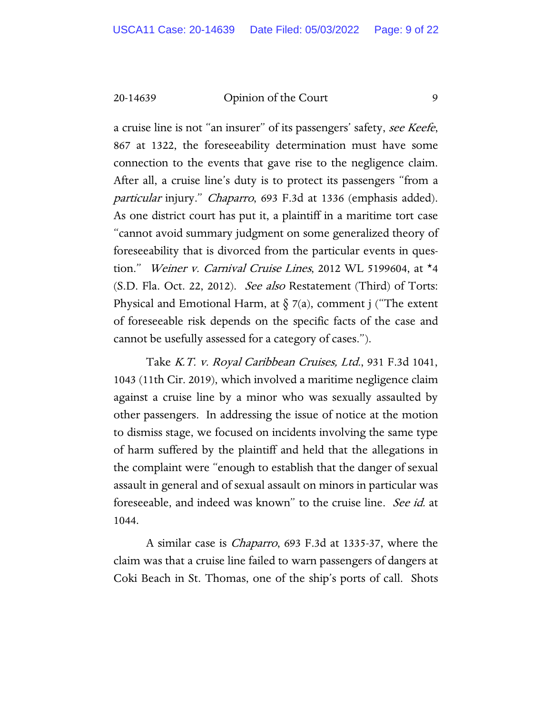a cruise line is not "an insurer" of its passengers' safety, see Keefe, 867 at 1322, the foreseeability determination must have some connection to the events that gave rise to the negligence claim. After all, a cruise line's duty is to protect its passengers "from a particular injury." Chaparro, 693 F.3d at 1336 (emphasis added). As one district court has put it, a plaintiff in a maritime tort case "cannot avoid summary judgment on some generalized theory of foreseeability that is divorced from the particular events in question." Weiner v. Carnival Cruise Lines, 2012 WL 5199604, at  $*$ 4  $(S.D.$  Fla. Oct. 22, 2012). *See also* Restatement (Third) of Torts: Physical and Emotional Harm, at  $\S$  7(a), comment j ("The extent of foreseeable risk depends on the specific facts of the case and cannot be usefully assessed for a category of cases.").

Take K.T. v. Royal Caribbean Cruises, Ltd., 931 F.3d 1041, 1043 (11th Cir. 2019), which involved a maritime negligence claim against a cruise line by a minor who was sexually assaulted by other passengers. In addressing the issue of notice at the motion to dismiss stage, we focused on incidents involving the same type of harm suffered by the plaintiff and held that the allegations in the complaint were "enough to establish that the danger of sexual assault in general and of sexual assault on minors in particular was foreseeable, and indeed was known" to the cruise line. See id. at 1044.

A similar case is Chaparro, 693 F.3d at 1335-37, where the claim was that a cruise line failed to warn passengers of dangers at Coki Beach in St. Thomas, one of the ship's ports of call. Shots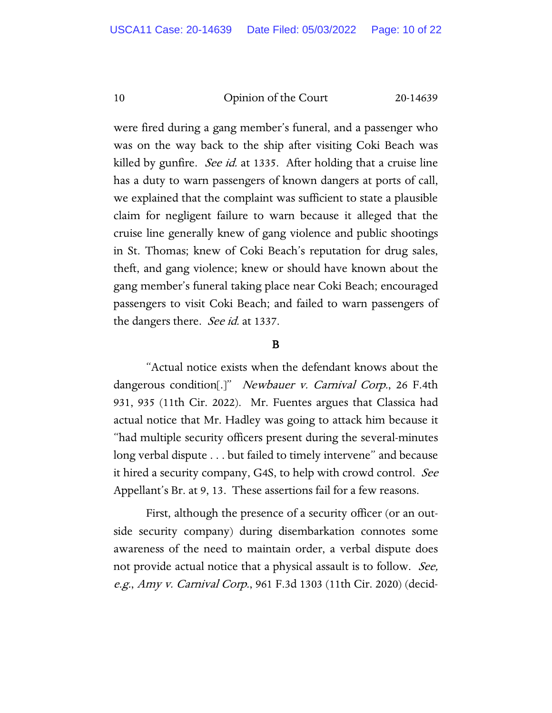were fired during a gang member's funeral, and a passenger who was on the way back to the ship after visiting Coki Beach was killed by gunfire. *See id.* at 1335. After holding that a cruise line has a duty to warn passengers of known dangers at ports of call, we explained that the complaint was sufficient to state a plausible claim for negligent failure to warn because it alleged that the cruise line generally knew of gang violence and public shootings in St. Thomas; knew of Coki Beach's reputation for drug sales, theft, and gang violence; knew or should have known about the gang member's funeral taking place near Coki Beach; encouraged passengers to visit Coki Beach; and failed to warn passengers of the dangers there. See id. at 1337.

#### B

"Actual notice exists when the defendant knows about the dangerous condition[.]" *Newbauer v. Carnival Corp.*, 26 F.4th 931, 935 (11th Cir. 2022). Mr. Fuentes argues that Classica had actual notice that Mr. Hadley was going to attack him because it "had multiple security officers present during the several-minutes long verbal dispute . . . but failed to timely intervene" and because it hired a security company, G4S, to help with crowd control. See Appellant's Br. at 9, 13. These assertions fail for a few reasons.

First, although the presence of a security officer (or an outside security company) during disembarkation connotes some awareness of the need to maintain order, a verbal dispute does not provide actual notice that a physical assault is to follow. See, e.g., Amy v. Carnival Corp., 961 F.3d 1303 (11th Cir. 2020) (decid-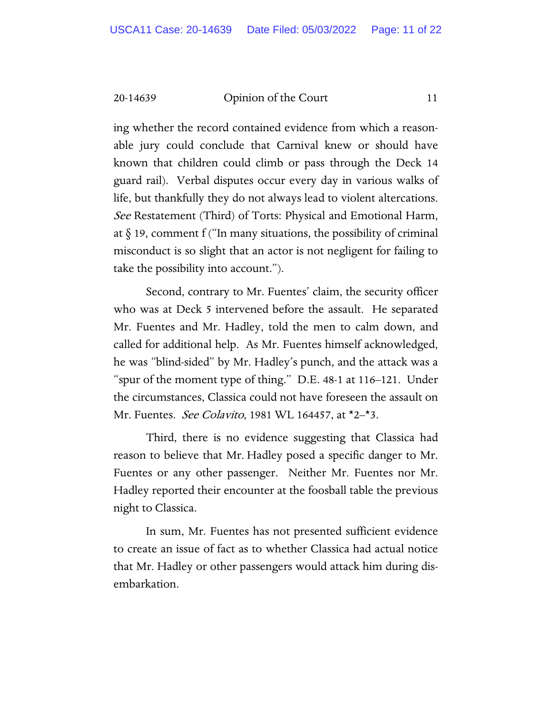ing whether the record contained evidence from which a reasonable jury could conclude that Carnival knew or should have known that children could climb or pass through the Deck 14 guard rail). Verbal disputes occur every day in various walks of life, but thankfully they do not always lead to violent altercations. See Restatement (Third) of Torts: Physical and Emotional Harm, at  $\S$  19, comment f ("In many situations, the possibility of criminal misconduct is so slight that an actor is not negligent for failing to take the possibility into account.").

Second, contrary to Mr. Fuentes' claim, the security officer who was at Deck 5 intervened before the assault. He separated Mr. Fuentes and Mr. Hadley, told the men to calm down, and called for additional help. As Mr. Fuentes himself acknowledged, he was "blind-sided" by Mr. Hadley's punch, and the attack was a "spur of the moment type of thing." D.E. 48-1 at 116–121. Under the circumstances, Classica could not have foreseen the assault on Mr. Fuentes. *See Colavito*, 1981 WL 164457, at \*2–\*3.

Third, there is no evidence suggesting that Classica had reason to believe that Mr. Hadley posed a specific danger to Mr. Fuentes or any other passenger. Neither Mr. Fuentes nor Mr. Hadley reported their encounter at the foosball table the previous night to Classica.

In sum, Mr. Fuentes has not presented sufficient evidence to create an issue of fact as to whether Classica had actual notice that Mr. Hadley or other passengers would attack him during disembarkation.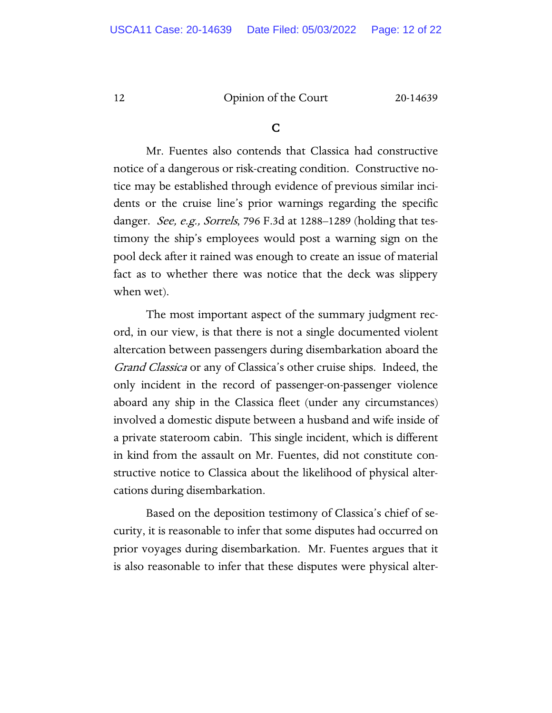#### C

 Mr. Fuentes also contends that Classica had constructive notice of a dangerous or risk-creating condition. Constructive notice may be established through evidence of previous similar incidents or the cruise line's prior warnings regarding the specific danger. *See, e.g., Sorrels*, 796 F.3d at 1288–1289 (holding that testimony the ship's employees would post a warning sign on the pool deck after it rained was enough to create an issue of material fact as to whether there was notice that the deck was slippery when wet).

The most important aspect of the summary judgment record, in our view, is that there is not a single documented violent altercation between passengers during disembarkation aboard the Grand Classica or any of Classica's other cruise ships. Indeed, the only incident in the record of passenger-on-passenger violence aboard any ship in the Classica fleet (under any circumstances) involved a domestic dispute between a husband and wife inside of a private stateroom cabin. This single incident, which is different in kind from the assault on Mr. Fuentes, did not constitute constructive notice to Classica about the likelihood of physical altercations during disembarkation.

Based on the deposition testimony of Classica's chief of security, it is reasonable to infer that some disputes had occurred on prior voyages during disembarkation. Mr. Fuentes argues that it is also reasonable to infer that these disputes were physical alter-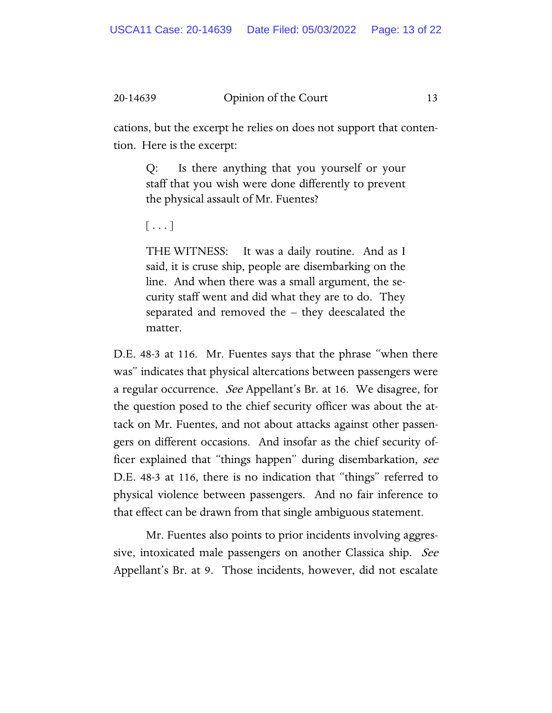cations, but the excerpt he relies on does not support that contention. Here is the excerpt:

Q: Is there anything that you yourself or your staff that you wish were done differently to prevent the physical assault of Mr. Fuentes?

 $[\,\ldots\,]$ 

THE WITNESS: It was a daily routine. And as I said, it is cruse ship, people are disembarking on the line. And when there was a small argument, the security staff went and did what they are to do. They separated and removed the – they deescalated the matter.

D.E. 48-3 at 116. Mr. Fuentes says that the phrase "when there was" indicates that physical altercations between passengers were a regular occurrence. *See* Appellant's Br. at 16. We disagree, for the question posed to the chief security officer was about the attack on Mr. Fuentes, and not about attacks against other passengers on different occasions. And insofar as the chief security officer explained that "things happen" during disembarkation, see D.E. 48-3 at 116, there is no indication that "things" referred to physical violence between passengers. And no fair inference to that effect can be drawn from that single ambiguous statement.

Mr. Fuentes also points to prior incidents involving aggressive, intoxicated male passengers on another Classica ship. See Appellant's Br. at 9. Those incidents, however, did not escalate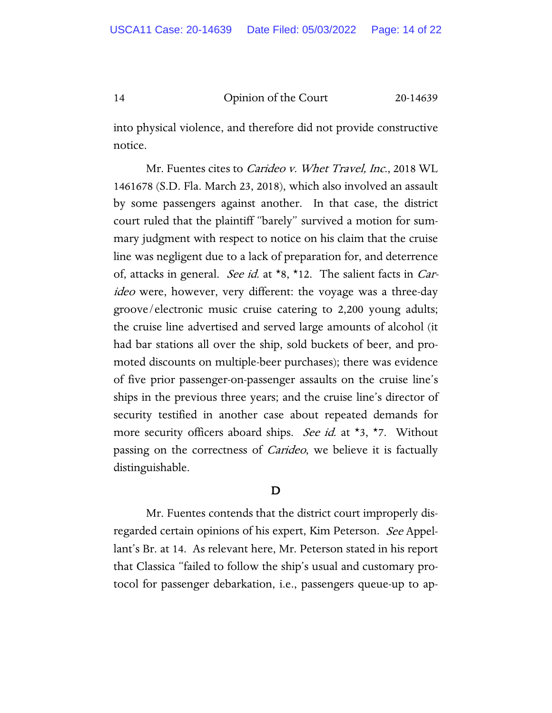into physical violence, and therefore did not provide constructive notice.

Mr. Fuentes cites to *Carideo v. Whet Travel, Inc.*, 2018 WL 1461678 (S.D. Fla. March 23, 2018), which also involved an assault by some passengers against another. In that case, the district court ruled that the plaintiff "barely" survived a motion for summary judgment with respect to notice on his claim that the cruise line was negligent due to a lack of preparation for, and deterrence of, attacks in general. See id. at  $*8$ ,  $*12$ . The salient facts in *Car*ideo were, however, very different: the voyage was a three-day groove/electronic music cruise catering to 2,200 young adults; the cruise line advertised and served large amounts of alcohol (it had bar stations all over the ship, sold buckets of beer, and promoted discounts on multiple-beer purchases); there was evidence of five prior passenger-on-passenger assaults on the cruise line's ships in the previous three years; and the cruise line's director of security testified in another case about repeated demands for more security officers aboard ships. See id. at \*3, \*7. Without passing on the correctness of *Carideo*, we believe it is factually distinguishable.

### D

Mr. Fuentes contends that the district court improperly disregarded certain opinions of his expert, Kim Peterson. See Appellant's Br. at 14. As relevant here, Mr. Peterson stated in his report that Classica "failed to follow the ship's usual and customary protocol for passenger debarkation, i.e., passengers queue-up to ap-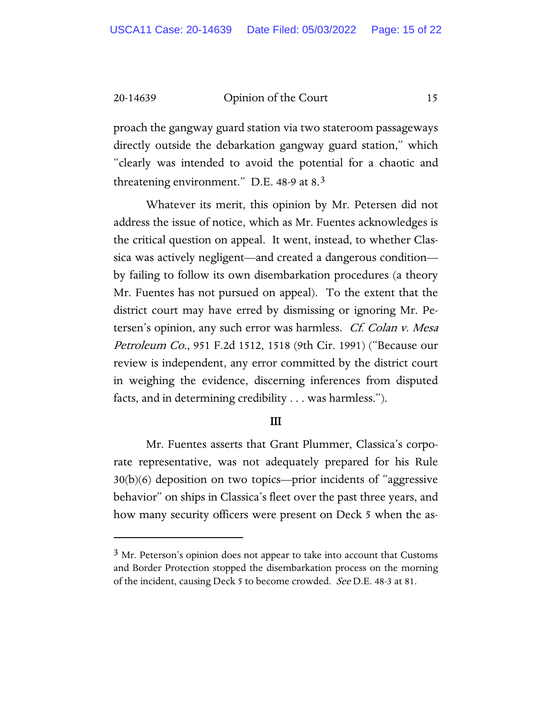proach the gangway guard station via two stateroom passageways directly outside the debarkation gangway guard station," which "clearly was intended to avoid the potential for a chaotic and threatening environment." D.E. 48-9 at 8.[3](#page-14-0) 

Whatever its merit, this opinion by Mr. Petersen did not address the issue of notice, which as Mr. Fuentes acknowledges is the critical question on appeal. It went, instead, to whether Classica was actively negligent—and created a dangerous condition by failing to follow its own disembarkation procedures (a theory Mr. Fuentes has not pursued on appeal). To the extent that the district court may have erred by dismissing or ignoring Mr. Petersen's opinion, any such error was harmless. Cf. Colan v. Mesa Petroleum Co., 951 F.2d 1512, 1518 (9th Cir. 1991) ("Because our review is independent, any error committed by the district court in weighing the evidence, discerning inferences from disputed facts, and in determining credibility . . . was harmless.").

#### III

Mr. Fuentes asserts that Grant Plummer, Classica's corporate representative, was not adequately prepared for his Rule 30(b)(6) deposition on two topics—prior incidents of "aggressive behavior" on ships in Classica's fleet over the past three years, and how many security officers were present on Deck 5 when the as-

<span id="page-14-0"></span> $3$  Mr. Peterson's opinion does not appear to take into account that Customs and Border Protection stopped the disembarkation process on the morning of the incident, causing Deck 5 to become crowded. *See* D.E. 48-3 at 81.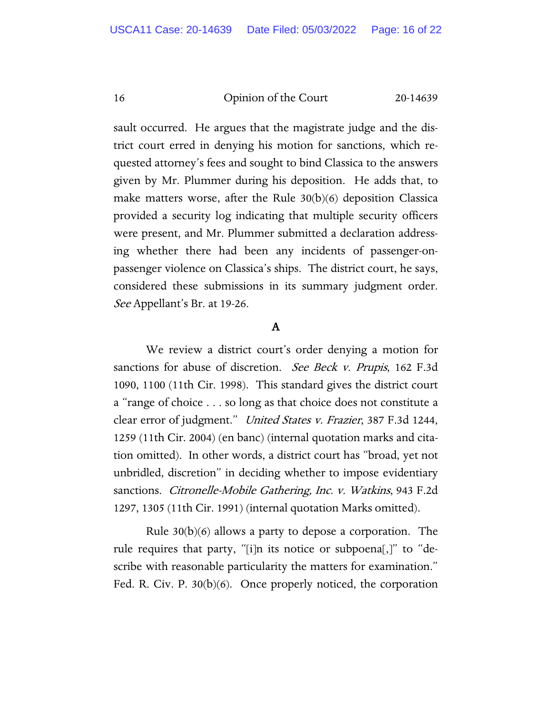sault occurred. He argues that the magistrate judge and the district court erred in denying his motion for sanctions, which requested attorney's fees and sought to bind Classica to the answers given by Mr. Plummer during his deposition. He adds that, to make matters worse, after the Rule 30(b)(6) deposition Classica provided a security log indicating that multiple security officers were present, and Mr. Plummer submitted a declaration addressing whether there had been any incidents of passenger-onpassenger violence on Classica's ships. The district court, he says, considered these submissions in its summary judgment order. See Appellant's Br. at 19-26.

# A

We review a district court's order denying a motion for sanctions for abuse of discretion. See Beck v. Prupis, 162 F.3d 1090, 1100 (11th Cir. 1998). This standard gives the district court a "range of choice . . . so long as that choice does not constitute a clear error of judgment." United States v. Frazier, 387 F.3d 1244, 1259 (11th Cir. 2004) (en banc) (internal quotation marks and citation omitted). In other words, a district court has "broad, yet not unbridled, discretion" in deciding whether to impose evidentiary sanctions. Citronelle-Mobile Gathering, Inc. v. Watkins, 943 F.2d 1297, 1305 (11th Cir. 1991) (internal quotation Marks omitted).

Rule 30(b)(6) allows a party to depose a corporation. The rule requires that party, "[i]n its notice or subpoena[,]" to "describe with reasonable particularity the matters for examination." Fed. R. Civ. P. 30(b)(6). Once properly noticed, the corporation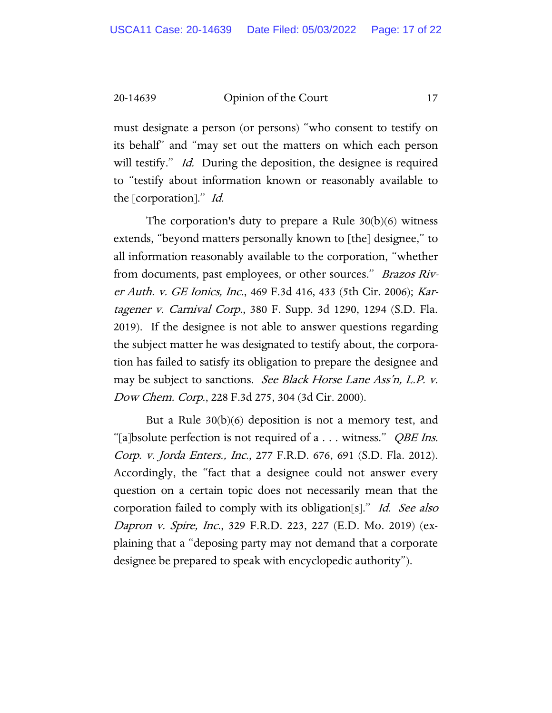must designate a person (or persons) "who consent to testify on its behalf" and "may set out the matters on which each person will testify." *Id.* During the deposition, the designee is required to "testify about information known or reasonably available to the [corporation]." Id.

The corporation's duty to prepare a Rule  $30(b)(6)$  witness extends, "beyond matters personally known to [the] designee," to all information reasonably available to the corporation, "whether from documents, past employees, or other sources." Brazos River Auth. v. GE Ionics, Inc., 469 F.3d 416, 433 (5th Cir. 2006); Kartagener v. Carnival Corp., 380 F. Supp. 3d 1290, 1294 (S.D. Fla. 2019). If the designee is not able to answer questions regarding the subject matter he was designated to testify about, the corporation has failed to satisfy its obligation to prepare the designee and may be subject to sanctions. See Black Horse Lane Ass'n, L.P. v. Dow Chem. Corp., 228 F.3d 275, 304 (3d Cir. 2000).

But a Rule 30(b)(6) deposition is not a memory test, and "[a]bsolute perfection is not required of a  $\dots$  witness." *QBE Ins.* Corp. v. Jorda Enters., Inc., 277 F.R.D. 676, 691 (S.D. Fla. 2012). Accordingly, the "fact that a designee could not answer every question on a certain topic does not necessarily mean that the corporation failed to comply with its obligation[s]." Id. See also Dapron v. Spire, Inc., 329 F.R.D. 223, 227 (E.D. Mo. 2019) (explaining that a "deposing party may not demand that a corporate designee be prepared to speak with encyclopedic authority").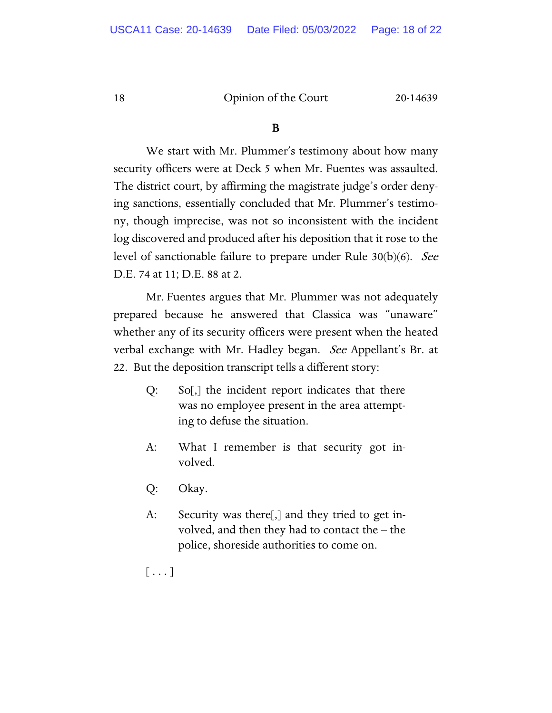#### B

We start with Mr. Plummer's testimony about how many security officers were at Deck 5 when Mr. Fuentes was assaulted. The district court, by affirming the magistrate judge's order denying sanctions, essentially concluded that Mr. Plummer's testimony, though imprecise, was not so inconsistent with the incident log discovered and produced after his deposition that it rose to the level of sanctionable failure to prepare under Rule 30(b)(6). See D.E. 74 at 11; D.E. 88 at 2.

Mr. Fuentes argues that Mr. Plummer was not adequately prepared because he answered that Classica was "unaware" whether any of its security officers were present when the heated verbal exchange with Mr. Hadley began. See Appellant's Br. at 22. But the deposition transcript tells a different story:

- Q: So[,] the incident report indicates that there was no employee present in the area attempting to defuse the situation.
- A: What I remember is that security got involved.
- Q: Okay.
- A: Security was there[,] and they tried to get involved, and then they had to contact the – the police, shoreside authorities to come on.
- $\lfloor \ldots \rfloor$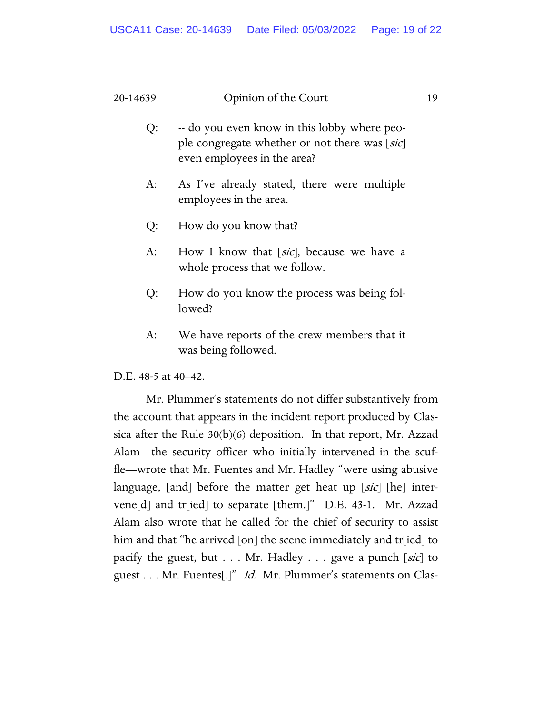- Q: -- do you even know in this lobby where people congregate whether or not there was [sic] even employees in the area?
- A: As I've already stated, there were multiple employees in the area.
- Q: How do you know that?
- A: How I know that [sic], because we have a whole process that we follow.
- Q: How do you know the process was being followed?
- A: We have reports of the crew members that it was being followed.

D.E. 48-5 at 40–42.

Mr. Plummer's statements do not differ substantively from the account that appears in the incident report produced by Classica after the Rule 30(b)(6) deposition. In that report, Mr. Azzad Alam—the security officer who initially intervened in the scuffle—wrote that Mr. Fuentes and Mr. Hadley "were using abusive language, [and] before the matter get heat up [sic] [he] intervene[d] and tr[ied] to separate [them.]" D.E. 43-1. Mr. Azzad Alam also wrote that he called for the chief of security to assist him and that "he arrived [on] the scene immediately and tr[ied] to pacify the guest, but  $\dots$  Mr. Hadley  $\dots$  gave a punch [sic] to guest . . . Mr. Fuentes[.]" *Id.* Mr. Plummer's statements on Clas-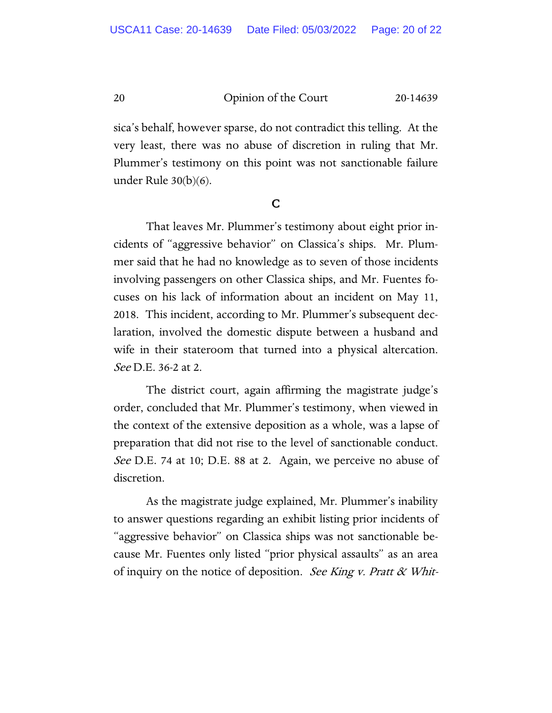sica's behalf, however sparse, do not contradict this telling. At the very least, there was no abuse of discretion in ruling that Mr. Plummer's testimony on this point was not sanctionable failure under Rule 30(b)(6).

#### C

That leaves Mr. Plummer's testimony about eight prior incidents of "aggressive behavior" on Classica's ships. Mr. Plummer said that he had no knowledge as to seven of those incidents involving passengers on other Classica ships, and Mr. Fuentes focuses on his lack of information about an incident on May 11, 2018. This incident, according to Mr. Plummer's subsequent declaration, involved the domestic dispute between a husband and wife in their stateroom that turned into a physical altercation. See D.E. 36-2 at 2.

The district court, again affirming the magistrate judge's order, concluded that Mr. Plummer's testimony, when viewed in the context of the extensive deposition as a whole, was a lapse of preparation that did not rise to the level of sanctionable conduct. See D.E. 74 at 10; D.E. 88 at 2. Again, we perceive no abuse of discretion.

As the magistrate judge explained, Mr. Plummer's inability to answer questions regarding an exhibit listing prior incidents of "aggressive behavior" on Classica ships was not sanctionable because Mr. Fuentes only listed "prior physical assaults" as an area of inquiry on the notice of deposition. See King v. Pratt  $\&$  Whit-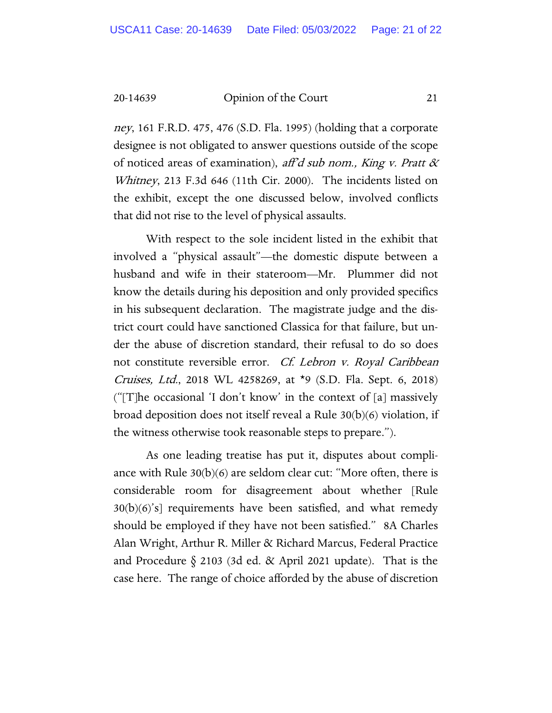ney, 161 F.R.D. 475, 476 (S.D. Fla. 1995) (holding that a corporate designee is not obligated to answer questions outside of the scope of noticed areas of examination), aff'd sub nom., King v. Pratt  $\alpha$ Whitney, 213 F.3d 646 (11th Cir. 2000). The incidents listed on the exhibit, except the one discussed below, involved conflicts that did not rise to the level of physical assaults.

With respect to the sole incident listed in the exhibit that involved a "physical assault"—the domestic dispute between a husband and wife in their stateroom—Mr. Plummer did not know the details during his deposition and only provided specifics in his subsequent declaration. The magistrate judge and the district court could have sanctioned Classica for that failure, but under the abuse of discretion standard, their refusal to do so does not constitute reversible error. Cf. Lebron v. Royal Caribbean Cruises, Ltd., 2018 WL 4258269, at \*9 (S.D. Fla. Sept. 6, 2018) ("[T]he occasional 'I don't know' in the context of [a] massively broad deposition does not itself reveal a Rule 30(b)(6) violation, if the witness otherwise took reasonable steps to prepare.").

As one leading treatise has put it, disputes about compliance with Rule  $30(b)(6)$  are seldom clear cut: "More often, there is considerable room for disagreement about whether [Rule  $30(b)(6)$ 's] requirements have been satisfied, and what remedy should be employed if they have not been satisfied." 8A Charles Alan Wright, Arthur R. Miller & Richard Marcus, Federal Practice and Procedure § 2103 (3d ed. & April 2021 update). That is the case here. The range of choice afforded by the abuse of discretion